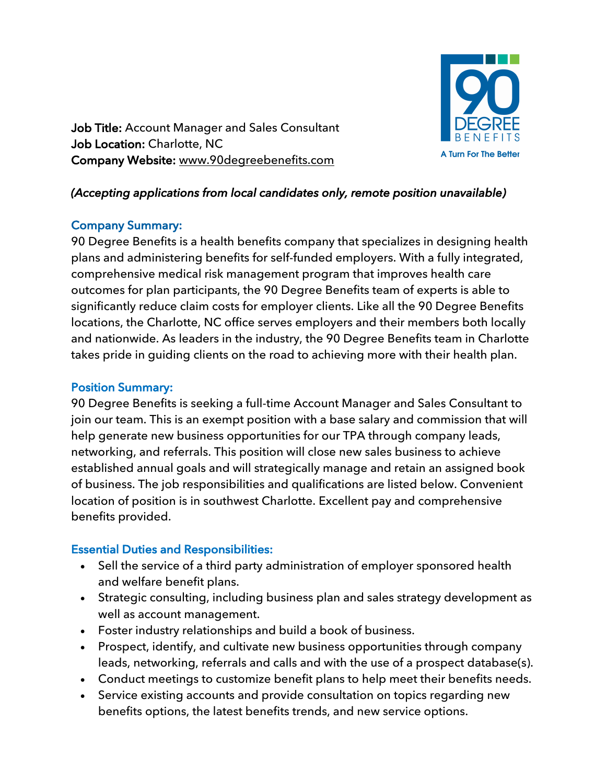

Job Title: Account Manager and Sales Consultant Job Location: Charlotte, NC Company Website: www.90degreebenefits.com

## *(Accepting applications from local candidates only, remote position unavailable)*

#### Company Summary:

90 Degree Benefits is a health benefits company that specializes in designing health plans and administering benefits for self-funded employers. With a fully integrated, comprehensive medical risk management program that improves health care outcomes for plan participants, the 90 Degree Benefits team of experts is able to significantly reduce claim costs for employer clients. Like all the 90 Degree Benefits locations, the Charlotte, NC office serves employers and their members both locally and nationwide. As leaders in the industry, the 90 Degree Benefits team in Charlotte takes pride in guiding clients on the road to achieving more with their health plan.

#### Position Summary:

90 Degree Benefits is seeking a full-time Account Manager and Sales Consultant to join our team. This is an exempt position with a base salary and commission that will help generate new business opportunities for our TPA through company leads, networking, and referrals. This position will close new sales business to achieve established annual goals and will strategically manage and retain an assigned book of business. The job responsibilities and qualifications are listed below. Convenient location of position is in southwest Charlotte. Excellent pay and comprehensive benefits provided.

## Essential Duties and Responsibilities:

- Sell the service of a third party administration of employer sponsored health and welfare benefit plans.
- Strategic consulting, including business plan and sales strategy development as well as account management.
- Foster industry relationships and build a book of business.
- Prospect, identify, and cultivate new business opportunities through company leads, networking, referrals and calls and with the use of a prospect database(s).
- Conduct meetings to customize benefit plans to help meet their benefits needs.
- Service existing accounts and provide consultation on topics regarding new benefits options, the latest benefits trends, and new service options.